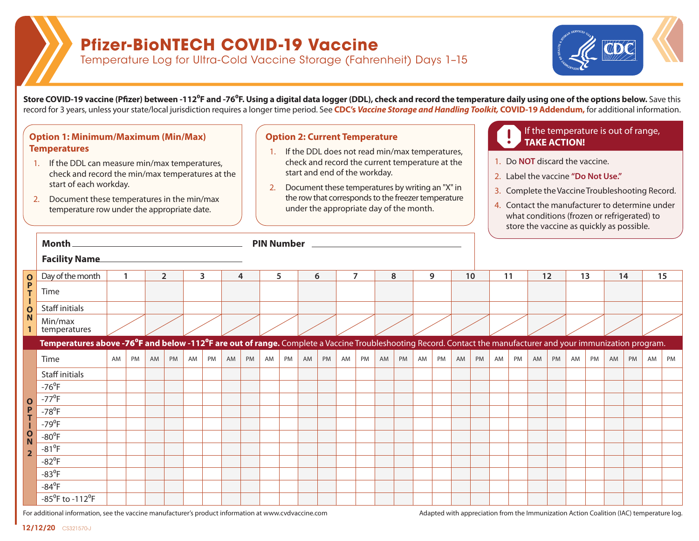## **Pfizer-BioNTECH COVID-19 Vaccine**

Temperature Log for Ultra-Cold Vaccine Storage (Fahrenheit) Days 1–15



**Store COVID-19 vaccine (Pfizer) between -112<sup>o</sup>F and -76<sup>o</sup>F. Using a digital data logger (DDL), check and record the temperature daily using one of the options below. Save this** record for 3 years, unless your state/local jurisdiction requires a longer time period. See **CDC's** *Vaccine Storage and Handling Toolkit,* **COVID-19 Addendum,** for additional information.

### **Option 1: Minimum/Maximum (Min/Max) Option 2: Current Temperature Constanting to the Constantine of the Constantine of the Constantine of the Constantine of the Constantine of the Constantine of the Constantine of th Temperatures**

- 1. If the DDL can measure min/max temperatures, check and record the min/max temperatures at the start of each workday.
- 2. Document these temperatures in the min/max temperature row under the appropriate date.

#### **Option 2: Current Temperature**

- 1. If the DDL does not read min/max temperatures, check and record the current temperature at the start and end of the workday.
- 2. Document these temperatures by writing an "X" in the row that corresponds to the freezer temperature under the appropriate day of the month.

# If the temperature is out of range,

- 1. Do **NOT** discard the vaccine.
- 2. Label the vaccine **"Do Not Use."**
- 3. Complete the Vaccine Troubleshooting Record.
- 4. Contact the manufacturer to determine under what conditions (frozen or refrigerated) to store the vaccine as quickly as possible.

|                              | Month.                                                                                                                                                                                   |              |    |                |    |    |    |    |    |    |    |    |    |                |    |    |    |    |    |    |    |    |    |    |    |    |    |    |    |    |    |
|------------------------------|------------------------------------------------------------------------------------------------------------------------------------------------------------------------------------------|--------------|----|----------------|----|----|----|----|----|----|----|----|----|----------------|----|----|----|----|----|----|----|----|----|----|----|----|----|----|----|----|----|
|                              | <b>Facility Name</b>                                                                                                                                                                     |              |    |                |    |    |    |    |    |    |    |    |    |                |    |    |    |    |    |    |    |    |    |    |    |    |    |    |    |    |    |
| $\mathbf{o}$                 | Day of the month                                                                                                                                                                         | $\mathbf{1}$ |    | $\overline{2}$ |    | 3  |    | 4  |    | 5  |    | 6  |    | $\overline{7}$ |    | 8  |    | 9  |    | 10 |    | 11 |    | 12 |    | 13 |    | 14 |    | 15 |    |
| $\frac{P}{T}$                | Time                                                                                                                                                                                     |              |    |                |    |    |    |    |    |    |    |    |    |                |    |    |    |    |    |    |    |    |    |    |    |    |    |    |    |    |    |
| L<br>$\overline{\mathbf{o}}$ | Staff initials                                                                                                                                                                           |              |    |                |    |    |    |    |    |    |    |    |    |                |    |    |    |    |    |    |    |    |    |    |    |    |    |    |    |    |    |
| N                            | Min/max<br>temperatures                                                                                                                                                                  |              |    |                |    |    |    |    |    |    |    |    |    |                |    |    |    |    |    |    |    |    |    |    |    |    |    |    |    |    |    |
|                              | Temperatures above -76 <sup>°</sup> F and below -112 <sup>°</sup> F are out of range. Complete a Vaccine Troubleshooting Record. Contact the manufacturer and your immunization program. |              |    |                |    |    |    |    |    |    |    |    |    |                |    |    |    |    |    |    |    |    |    |    |    |    |    |    |    |    |    |
|                              | Time                                                                                                                                                                                     | AM           | PM | AM             | PM | AM | PM | AM | PM | AM | PM | AM | PM | AM             | PM | AM | PM | AM | PM | AM | PM | AM | PM | AM | PM | AM | PM | AM | PM | AM | PM |
|                              | Staff initials                                                                                                                                                                           |              |    |                |    |    |    |    |    |    |    |    |    |                |    |    |    |    |    |    |    |    |    |    |    |    |    |    |    |    |    |
|                              | $-76^{\circ}$ F                                                                                                                                                                          |              |    |                |    |    |    |    |    |    |    |    |    |                |    |    |    |    |    |    |    |    |    |    |    |    |    |    |    |    |    |
| $\mathbf 0$                  | $-77^{\circ}$ F                                                                                                                                                                          |              |    |                |    |    |    |    |    |    |    |    |    |                |    |    |    |    |    |    |    |    |    |    |    |    |    |    |    |    |    |
| P<br>T                       | $-78^{\circ}F$                                                                                                                                                                           |              |    |                |    |    |    |    |    |    |    |    |    |                |    |    |    |    |    |    |    |    |    |    |    |    |    |    |    |    |    |
|                              | $-79^{\circ}F$                                                                                                                                                                           |              |    |                |    |    |    |    |    |    |    |    |    |                |    |    |    |    |    |    |    |    |    |    |    |    |    |    |    |    |    |
| O<br>N                       | $-80^0$ F                                                                                                                                                                                |              |    |                |    |    |    |    |    |    |    |    |    |                |    |    |    |    |    |    |    |    |    |    |    |    |    |    |    |    |    |
| $\overline{2}$               | $-81^0$ F                                                                                                                                                                                |              |    |                |    |    |    |    |    |    |    |    |    |                |    |    |    |    |    |    |    |    |    |    |    |    |    |    |    |    |    |
|                              | $-82$ <sup>o</sup> F                                                                                                                                                                     |              |    |                |    |    |    |    |    |    |    |    |    |                |    |    |    |    |    |    |    |    |    |    |    |    |    |    |    |    |    |
|                              | $-83^{\circ}F$                                                                                                                                                                           |              |    |                |    |    |    |    |    |    |    |    |    |                |    |    |    |    |    |    |    |    |    |    |    |    |    |    |    |    |    |
|                              | $-84^{\circ}F$                                                                                                                                                                           |              |    |                |    |    |    |    |    |    |    |    |    |                |    |    |    |    |    |    |    |    |    |    |    |    |    |    |    |    |    |
|                              | $-85^{\circ}$ F to $-112^{\circ}$ F                                                                                                                                                      |              |    |                |    |    |    |    |    |    |    |    |    |                |    |    |    |    |    |    |    |    |    |    |    |    |    |    |    |    |    |

For additional information, see the vaccine manufacturer's product information at [www.cvdvaccine.com](http://www.cvdvaccine.com) Adapted with appreciation from the Immunization Action Coalition (IAC) temperature log.